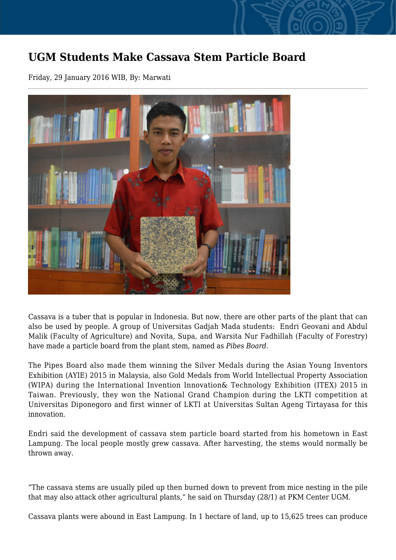## **UGM Students Make Cassava Stem Particle Board**

Friday, 29 January 2016 WIB, By: Marwati



Cassava is a tuber that is popular in Indonesia. But now, there are other parts of the plant that can also be used by people. A group of Universitas Gadjah Mada students: Endri Geovani and Abdul Malik (Faculty of Agriculture) and Novita, Supa, and Warsita Nur Fadhillah (Faculty of Forestry) have made a particle board from the plant stem, named as *Pibes Board*.

The Pipes Board also made them winning the Silver Medals during the Asian Young Inventors Exhibition (AYIE) 2015 in Malaysia, also Gold Medals from World Intellectual Property Association (WIPA) during the International Invention Innovation& Technology Exhibition (ITEX) 2015 in Taiwan. Previously, they won the National Grand Champion during the LKTI competition at Universitas Diponegoro and first winner of LKTI at Universitas Sultan Ageng Tirtayasa for this innovation.

Endri said the development of cassava stem particle board started from his hometown in East Lampung. The local people mostly grew cassava. After harvesting, the stems would normally be thrown away.

"The cassava stems are usually piled up then burned down to prevent from mice nesting in the pile that may also attack other agricultural plants," he said on Thursday (28/1) at PKM Center UGM.

Cassava plants were abound in East Lampung. In 1 hectare of land, up to 15,625 trees can produce